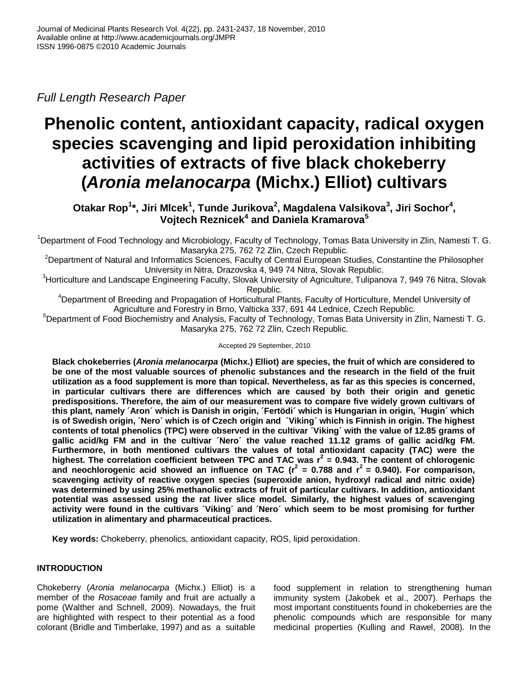*Full Length Research Paper*

# **Phenolic content, antioxidant capacity, radical oxygen species scavenging and lipid peroxidation inhibiting activities of extracts of five black chokeberry (***Aronia melanocarpa* **(Michx.) Elliot) cultivars**

**Otakar Rop<sup>1</sup> \*, Jiri Mlcek<sup>1</sup> , Tunde Jurikova<sup>2</sup> , Magdalena Valsikova<sup>3</sup> , Jiri Sochor<sup>4</sup> , Vojtech Reznicek<sup>4</sup> and Daniela Kramarova<sup>5</sup>**

<sup>1</sup>Department of Food Technology and Microbiology, Faculty of Technology, Tomas Bata University in Zlin, Namesti T. G. Masaryka 275, 762 72 Zlin, Czech Republic.

<sup>2</sup>Department of Natural and Informatics Sciences, Faculty of Central European Studies, Constantine the Philosopher University in Nitra, Drazovska 4, 949 74 Nitra, Slovak Republic.

<sup>3</sup>Horticulture and Landscape Engineering Faculty, Slovak University of Agriculture, Tulipanova 7, 949 76 Nitra, Slovak Republic.

<sup>4</sup>Department of Breeding and Propagation of Horticultural Plants, Faculty of Horticulture, Mendel University of Agriculture and Forestry in Brno, Valticka 337, 691 44 Lednice, Czech Republic.

<sup>5</sup>Department of Food Biochemistry and Analysis, Faculty of Technology, Tomas Bata University in Zlin, Namesti T. G. Masaryka 275, 762 72 Zlin, Czech Republic.

Accepted 29 September, 2010

**Black chokeberries (***Aronia melanocarpa* **(Michx.) Elliot) are species, the fruit of which are considered to be one of the most valuable sources of phenolic substances and the research in the field of the fruit utilization as a food supplement is more than topical. Nevertheless, as far as this species is concerned, in particular cultivars there are differences which are caused by both their origin and genetic predispositions. Therefore, the aim of our measurement was to compare five widely grown cultivars of this plant, namely ´Aron´ which is Danish in origin, ´Fertödi´ which is Hungarian in origin, ´Hugin´ which is of Swedish origin, ´Nero´ which is of Czech origin and ´Viking´ which is Finnish in origin. The highest contents of total phenolics (TPC) were observed in the cultivar ´Viking´ with the value of 12.85 grams of gallic acid/kg FM and in the cultivar ´Nero´ the value reached 11.12 grams of gallic acid/kg FM. Furthermore, in both mentioned cultivars the values of total antioxidant capacity (TAC) were the highest. The correlation coefficient between TPC and TAC was r<sup>2</sup> = 0.943. The content of chlorogenic**  and neochlorogenic acid showed an influence on TAC ( $r^2$  = 0.788 and  $r^2$  = 0.940). For comparison, **scavenging activity of reactive oxygen species (superoxide anion, hydroxyl radical and nitric oxide) was determined by using 25% methanolic extracts of fruit of particular cultivars. In addition, antioxidant potential was assessed using the rat liver slice model. Similarly, the highest values of scavenging activity were found in the cultivars ´Viking´ and ´Nero´ which seem to be most promising for further utilization in alimentary and pharmaceutical practices.** 

**Key words:** Chokeberry, phenolics, antioxidant capacity, ROS, lipid peroxidation.

# **INTRODUCTION**

Chokeberry (*Aronia melanocarpa* (Michx.) Elliot) is a member of the *Rosaceae* family and fruit are actually a pome (Walther and Schnell, 2009). Nowadays, the fruit are highlighted with respect to their potential as a food colorant (Bridle and Timberlake, 1997) and as a suitable

food supplement in relation to strengthening human immunity system (Jakobek et al., 2007). Perhaps the most important constituents found in chokeberries are the phenolic compounds which are responsible for many medicinal properties (Kulling and Rawel, 2008). In the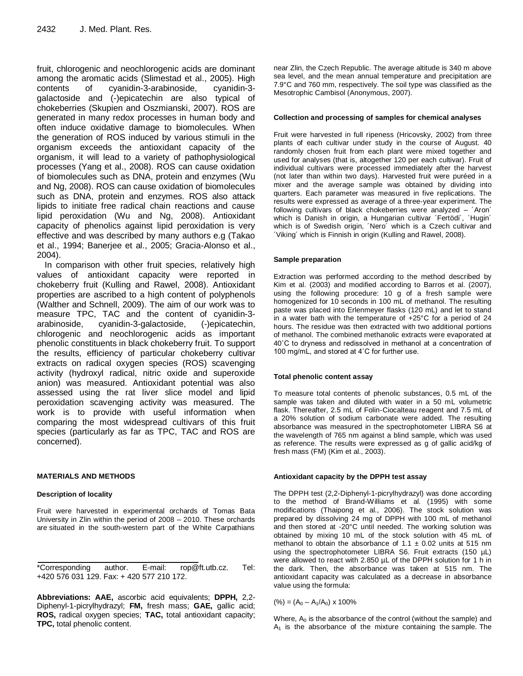fruit, chlorogenic and neochlorogenic acids are dominant among the aromatic acids (Slimestad et al., 2005). High contents of cyanidin-3-arabinoside, cyanidin-3 galactoside and (-)epicatechin are also typical of chokeberries (Skupien and Oszmianski, 2007). ROS are generated in many redox processes in human body and often induce oxidative damage to biomolecules. When the generation of ROS induced by various stimuli in the organism exceeds the antioxidant capacity of the organism, it will lead to a variety of pathophysiological processes (Yang et al., 2008). ROS can cause oxidation of biomolecules such as DNA, protein and enzymes (Wu and Ng, 2008). ROS can cause oxidation of biomolecules such as DNA, protein and enzymes. ROS also attack lipids to initiate free radical chain reactions and cause lipid peroxidation (Wu and Ng, 2008). Antioxidant capacity of phenolics against lipid peroxidation is very effective and was described by many authors e.g (Takao et al., 1994; Banerjee et al., 2005; Gracia-Alonso et al., 2004).

In comparison with other fruit species, relatively high values of antioxidant capacity were reported in chokeberry fruit (Kulling and Rawel, 2008). Antioxidant properties are ascribed to a high content of polyphenols (Walther and Schnell, 2009). The aim of our work was to measure TPC, TAC and the content of cyanidin-3 arabinoside, cyanidin-3-galactoside, (-)epicatechin, chlorogenic and neochlorogenic acids as important phenolic constituents in black chokeberry fruit. To support the results, efficiency of particular chokeberry cultivar extracts on radical oxygen species (ROS) scavenging activity (hydroxyl radical, nitric oxide and superoxide anion) was measured. Antioxidant potential was also assessed using the rat liver slice model and lipid peroxidation scavenging activity was measured. The work is to provide with useful information when comparing the most widespread cultivars of this fruit species (particularly as far as TPC, TAC and ROS are concerned).

## **MATERIALS AND METHODS**

## **Description of locality**

Fruit were harvested in experimental orchards of Tomas Bata University in Zlin within the period of 2008 – 2010. These orchards are situated in the south-western part of the White Carpathians

\*Corresponding author. E-mail: rop@ft.utb.cz. Tel: +420 576 031 129. Fax: + 420 577 210 172.

**Abbreviations: AAE,** ascorbic acid equivalents; **DPPH,** 2,2- Diphenyl-1-picrylhydrazyl; **FM,** fresh mass; **GAE,** gallic acid; **ROS,** radical oxygen species; **TAC,** total antioxidant capacity; **TPC,** total phenolic content.

near Zlin, the Czech Republic. The average altitude is 340 m above sea level, and the mean annual temperature and precipitation are 7.9°C and 760 mm, respectively. The soil type was classified as the Mesotrophic Cambisol (Anonymous, 2007).

## **Collection and processing of samples for chemical analyses**

Fruit were harvested in full ripeness (Hricovsky, 2002) from three plants of each cultivar under study in the course of August. 40 randomly chosen fruit from each plant were mixed together and used for analyses (that is, altogether 120 per each cultivar). Fruit of individual cultivars were processed immediately after the harvest (not later than within two days). Harvested fruit were puréed in a mixer and the average sample was obtained by dividing into quarters. Each parameter was measured in five replications. The results were expressed as average of a three-year experiment. The following cultivars of black chokeberries were analyzed – ´Aron´ which is Danish in origin, a Hungarian cultivar ´Fertödi´, ´Hugin´ which is of Swedish origin, ´Nero´ which is a Czech cultivar and ´Viking´ which is Finnish in origin (Kulling and Rawel, 2008).

### **Sample preparation**

Extraction was performed according to the method described by Kim et al. (2003) and modified according to Barros et al. (2007), using the following procedure: 10 g of a fresh sample were homogenized for 10 seconds in 100 mL of methanol. The resulting paste was placed into Erlenmeyer flasks (120 mL) and let to stand in a water bath with the temperature of +25°C for a period of 24 hours. The residue was then extracted with two additional portions of methanol. The combined methanolic extracts were evaporated at 40˚C to dryness and redissolved in methanol at a concentration of 100 mg/mL, and stored at 4˚C for further use.

## **Total phenolic content assay**

To measure total contents of phenolic substances, 0.5 mL of the sample was taken and diluted with water in a 50 mL volumetric flask. Thereafter, 2.5 mL of Folin-Ciocalteau reagent and 7.5 mL of a 20% solution of sodium carbonate were added. The resulting absorbance was measured in the spectrophotometer LIBRA S6 at the wavelength of 765 nm against a blind sample, which was used as reference. The results were expressed as g of gallic acid/kg of fresh mass (FM) (Kim et al., 2003).

## **Antioxidant capacity by the DPPH test assay**

The DPPH test (2,2-Diphenyl-1-picrylhydrazyl) was done according to the method of Brand-Williams et al. (1995) with some modifications (Thaipong et al., 2006). The stock solution was prepared by dissolving 24 mg of DPPH with 100 mL of methanol and then stored at -20°C until needed. The working solution was obtained by mixing 10 mL of the stock solution with 45 mL of methanol to obtain the absorbance of  $1.1 \pm 0.02$  units at 515 nm using the spectrophotometer LIBRA S6. Fruit extracts (150 µL) were allowed to react with 2.850  $\mu$ L of the DPPH solution for 1 h in the dark. Then, the absorbance was taken at 515 nm. The antioxidant capacity was calculated as a decrease in absorbance value using the formula:

 $(\%) = (A_0 - A_1/A_0) \times 100\%$ 

Where,  $A_0$  is the absorbance of the control (without the sample) and  $A_1$  is the absorbance of the mixture containing the sample. The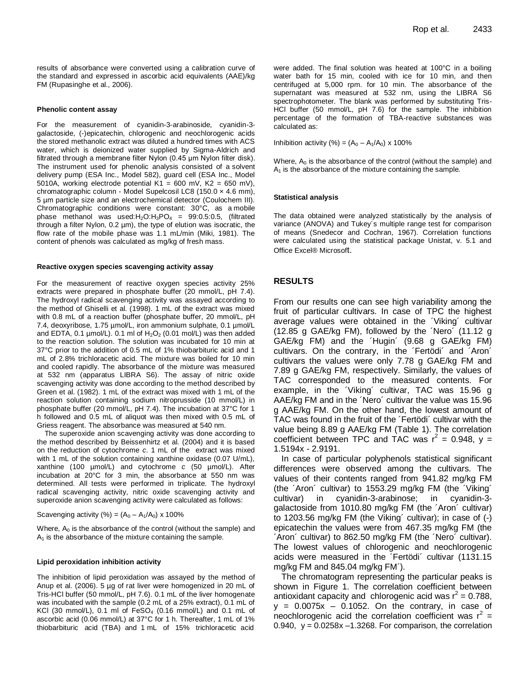results of absorbance were converted using a calibration curve of the standard and expressed in ascorbic acid equivalents (AAE)/kg FM (Rupasinghe et al., 2006).

#### **Phenolic content assay**

For the measurement of cyanidin-3-arabinoside, cyanidin-3 galactoside, (-)epicatechin, chlorogenic and neochlorogenic acids the stored methanolic extract was diluted a hundred times with ACS water, which is deionized water supplied by Sigma-Aldrich and filtrated through a membrane filter Nylon (0.45 μm Nylon filter disk). The instrument used for phenolic analysis consisted of a solvent delivery pump (ESA Inc., Model 582), guard cell (ESA Inc., Model 5010A, working electrode potential  $K1 = 600$  mV,  $K2 = 650$  mV), chromatographic column - Model Supelcosil LC8 (150.0 × 4.6 mm), 5 µm particle size and an electrochemical detector (Coulochem III). Chromatographic conditions were constant: 30°C, as a mobile phase methanol was used: $H_2O:H_3PO_4 = 99:0.5:0.5$ , (filtrated through a filter Nylon, 0.2 µm), the type of elution was isocratic, the flow rate of the mobile phase was 1.1 mL/min (Miki, 1981). The content of phenols was calculated as mg/kg of fresh mass.

#### **Reactive oxygen species scavenging activity assay**

For the measurement of reactive oxygen species activity 25% extracts were prepared in phosphate buffer (20 mmol/L, pH 7.4). The hydroxyl radical scavenging activity was assayed according to the method of Ghiselli et al. (1998). 1 mL of the extract was mixed with 0.8 mL of a reaction buffer (phosphate buffer, 20 mmol/L, pH 7.4, deoxyribose, 1.75 µmol/L, iron ammonium sulphate, 0.1 µmol/L and EDTA, 0.1  $\mu$ mol/L). 0.1 ml of H<sub>2</sub>O<sub>2</sub> (0.01 mol/L) was then added to the reaction solution. The solution was incubated for 10 min at 37°C prior to the addition of 0.5 mL of 1% thiobarbituric acid and 1 mL of 2.8% trichloracetic acid. The mixture was boiled for 10 min and cooled rapidly. The absorbance of the mixture was measured at 532 nm (apparatus LIBRA S6). The assay of nitric oxide scavenging activity was done according to the method described by Green et al. (1982). 1 mL of the extract was mixed with 1 mL of the reaction solution containing sodium nitroprusside (10 mmol/L) in phosphate buffer (20 mmol/L, pH 7.4). The incubation at 37°C for 1 h followed and 0.5 mL of aliquot was then mixed with 0.5 mL of Griess reagent. The absorbance was measured at 540 nm.

The superoxide anion scavenging activity was done according to the method described by Beissenhirtz et al. (2004) and it is based on the reduction of cytochrome *c*. 1 mL of the extract was mixed with 1 mL of the solution containing xanthine oxidase (0.07 U/mL), xanthine (100 µmol/L) and cytochrome *c* (50 µmol/L). After incubation at 20°C for 3 min, the absorbance at 550 nm was determined. All tests were performed in triplicate. The hydroxyl radical scavenging activity, nitric oxide scavenging activity and superoxide anion scavenging activity were calculated as follows:

Scavenging activity (%) =  $(A_0 - A_1/A_0)$  x 100%

Where,  $A_0$  is the absorbance of the control (without the sample) and  $A_1$  is the absorbance of the mixture containing the sample.

#### **Lipid peroxidation inhibition activity**

The inhibition of lipid peroxidation was assayed by the method of Anup et al. (2006). 5 µg of rat liver were homogenized in 20 mL of Tris-HCl buffer (50 mmol/L, pH 7.6). 0.1 mL of the liver homogenate was incubated with the sample (0.2 mL of a 25% extract), 0.1 mL of KCl (30 mmol/L), 0.1 ml of  $FESO<sub>4</sub>$  (0.16 mmol/L) and 0.1 mL of ascorbic acid (0.06 mmol/L) at 37°C for 1 h. Thereafter, 1 mL of 1% thiobarbituric acid (TBA) and 1 mL of 15% trichloracetic acid were added. The final solution was heated at 100°C in a boiling water bath for 15 min, cooled with ice for 10 min, and then centrifuged at 5,000 rpm. for 10 min. The absorbance of the supernatant was measured at 532 nm, using the LIBRA S6 spectrophotometer. The blank was performed by substituting Tris-HCl buffer (50 mmol/L, pH 7.6) for the sample. The inhibition percentage of the formation of TBA-reactive substances was calculated as:

Inhibition activity (%) =  $(A_0 - A_1/A_0) \times 100\%$ 

Where,  $A_0$  is the absorbance of the control (without the sample) and  $A<sub>1</sub>$  is the absorbance of the mixture containing the sample.

#### **Statistical analysis**

The data obtained were analyzed statistically by the analysis of variance (ANOVA) and Tukey´s multiple range test for comparison of means (Snedecor and Cochran, 1967). Correlation functions were calculated using the statistical package Unistat, v. 5.1 and Office Excel® Microsoft.

#### **RESULTS**

From our results one can see high variability among the fruit of particular cultivars. In case of TPC the highest average values were obtained in the ´Viking´ cultivar (12.85 g GAE/kg FM), followed by the ´Nero´ (11.12 g GAE/kg FM) and the ´Hugin´ (9.68 g GAE/kg FM) cultivars. On the contrary, in the ´Fertödi´ and ´Aron´ cultivars the values were only 7.78 g GAE/kg FM and 7.89 g GAE/kg FM, respectively. Similarly, the values of TAC corresponded to the measured contents. For example, in the ´Viking´ cultivar, TAC was 15.96 g AAE/kg FM and in the ´Nero´ cultivar the value was 15.96 g AAE/kg FM. On the other hand, the lowest amount of TAC was found in the fruit of the ´Fertödi´ cultivar with the value being 8.89 g AAE/kg FM (Table 1). The correlation coefficient between TPC and TAC was  $r^2 = 0.948$ , y = 1.5194x - 2.9191.

In case of particular polyphenols statistical significant differences were observed among the cultivars. The values of their contents ranged from 941.82 mg/kg FM (the ´Aron´ cultivar) to 1553.29 mg/kg FM (the ´Viking´ cultivar) in cyanidin-3-arabinose; in cyanidin-3 galactoside from 1010.80 mg/kg FM (the ´Aron´ cultivar) to 1203.56 mg/kg FM (the Viking´ cultivar); in case of (-) epicatechin the values were from 467.35 mg/kg FM (the ´Aron´ cultivar) to 862.50 mg/kg FM (the ´Nero´ cultivar). The lowest values of chlorogenic and neochlorogenic acids were measured in the ´Fertödi´ cultivar (1131.15 mg/kg FM and 845.04 mg/kg FM´).

The chromatogram representing the particular peaks is shown in Figure 1. The correlation coefficient between antioxidant capacity and chlorogenic acid was  $r^2 = 0.788$ ,  $y = 0.0075x - 0.1052$ . On the contrary, in case of neochlorogenic acid the correlation coefficient was  $r^2 =$ 0.940,  $y = 0.0258x - 1.3268$ . For comparison, the correlation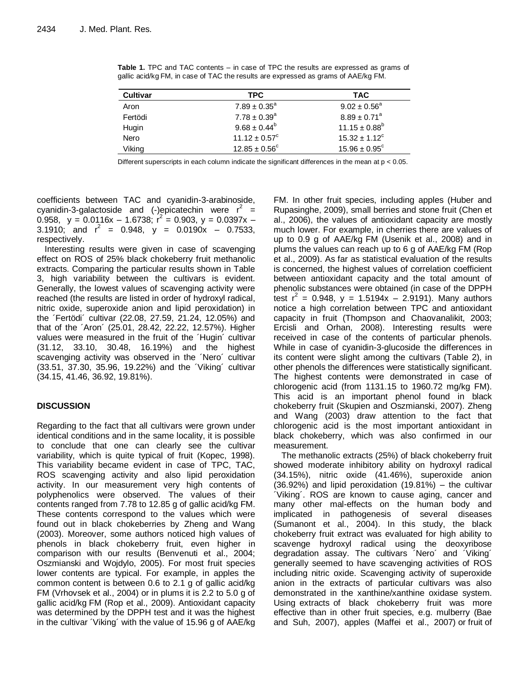| Cultivar | <b>TPC</b>               | <b>TAC</b>                   |
|----------|--------------------------|------------------------------|
| Aron     | $7.89 \pm 0.35^{\circ}$  | $9.02 \pm 0.56^a$            |
| Fertödi  | $7.78 \pm 0.39^a$        | $8.89 \pm 0.71$ <sup>a</sup> |
| Hugin    | $9.68 \pm 0.44^b$        | $11.15 \pm 0.88^b$           |
| Nero     | $11.12 \pm 0.57^{\circ}$ | $15.32 \pm 1.12^{\circ}$     |
| Viking   | $12.85 \pm 0.56^{\circ}$ | $15.96 \pm 0.95^{\circ}$     |

**Table 1.** TPC and TAC contents – in case of TPC the results are expressed as grams of gallic acid/kg FM, in case of TAC the results are expressed as grams of AAE/kg FM.

Different superscripts in each column indicate the significant differences in the mean at p < 0.05.

coefficients between TAC and cyanidin-3-arabinoside, cyanidin-3-galactoside and (-)epicatechin were  $r^2 =$ 0.958,  $y = 0.0116x - 1.6738$ ;  $r^2 = 0.903$ ,  $y = 0.0397x -$ 3.1910; and  $r^2 = 0.948$ ,  $y = 0.0190x - 0.7533$ , respectively.

Interesting results were given in case of scavenging effect on ROS of 25% black chokeberry fruit methanolic extracts. Comparing the particular results shown in Table 3, high variability between the cultivars is evident. Generally, the lowest values of scavenging activity were reached (the results are listed in order of hydroxyl radical, nitric oxide, superoxide anion and lipid peroxidation) in the ´Fertödi´ cultivar (22.08, 27.59, 21.24, 12.05%) and that of the ´Aron´ (25.01, 28.42, 22.22, 12.57%). Higher values were measured in the fruit of the ´Hugin´ cultivar (31.12, 33.10, 30.48, 16.19%) and the highest scavenging activity was observed in the ´Nero´ cultivar (33.51, 37.30, 35.96, 19.22%) and the ´Viking´ cultivar (34.15, 41.46, 36.92, 19.81%).

## **DISCUSSION**

Regarding to the fact that all cultivars were grown under identical conditions and in the same locality, it is possible to conclude that one can clearly see the cultivar variability, which is quite typical of fruit (Kopec, 1998). This variability became evident in case of TPC, TAC, ROS scavenging activity and also lipid peroxidation activity. In our measurement very high contents of polyphenolics were observed. The values of their contents ranged from 7.78 to 12.85 g of gallic acid/kg FM. These contents correspond to the values which were found out in black chokeberries by Zheng and Wang (2003). Moreover, some authors noticed high values of phenols in black chokeberry fruit, even higher in comparison with our results (Benvenuti et al., 2004; Oszmianski and Wojdylo, 2005). For most fruit species lower contents are typical. For example, in apples the common content is between 0.6 to 2.1 g of gallic acid/kg FM (Vrhovsek et al., 2004) or in plums it is 2.2 to 5.0 g of gallic acid/kg FM (Rop et al., 2009). Antioxidant capacity was determined by the DPPH test and it was the highest in the cultivar ´Viking´ with the value of 15.96 g of AAE/kg

FM. In other fruit species, including apples (Huber and Rupasinghe, 2009), small berries and stone fruit (Chen et al., 2006), the values of antioxidant capacity are mostly much lower. For example, in cherries there are values of up to 0.9 g of AAE/kg FM (Usenik et al., 2008) and in plums the values can reach up to 6 g of AAE/kg FM (Rop et al., 2009). As far as statistical evaluation of the results is concerned, the highest values of correlation coefficient between antioxidant capacity and the total amount of phenolic substances were obtained (in case of the DPPH test  $r^2 = 0.948$ , y = 1.5194x – 2.9191). Many authors notice a high correlation between TPC and antioxidant capacity in fruit (Thompson and Chaovanalikit, 2003; Ercisli and Orhan, 2008). Interesting results were received in case of the contents of particular phenols. While in case of cyanidin-3-glucoside the differences in its content were slight among the cultivars (Table 2), in other phenols the differences were statistically significant. The highest contents were demonstrated in case of chlorogenic acid (from 1131.15 to 1960.72 mg/kg FM). This acid is an important phenol found in black chokeberry fruit (Skupien and Oszmianski, 2007). Zheng and Wang (2003) draw attention to the fact that chlorogenic acid is the most important antioxidant in black chokeberry, which was also confirmed in our measurement.

The methanolic extracts (25%) of black chokeberry fruit showed moderate inhibitory ability on hydroxyl radical (34.15%), nitric oxide (41.46%), superoxide anion (36.92%) and lipid peroxidation (19.81%) – the cultivar ´Viking´. ROS are known to cause aging, cancer and many other mal-effects on the human body and implicated in pathogenesis of several diseases (Sumanont et al., 2004). In this study, the black chokeberry fruit extract was evaluated for high ability to scavenge hydroxyl radical using the deoxyribose degradation assay. The cultivars ´Nero´ and ´Viking´ generally seemed to have scavenging activities of ROS including nitric oxide. Scavenging activity of superoxide anion in the extracts of particular cultivars was also demonstrated in the xanthine/xanthine oxidase system. Using extracts of black chokeberry fruit was more effective than in other fruit species, e.g. mulberry (Bae and Suh, 2007), apples (Maffei et al., 2007) or fruit of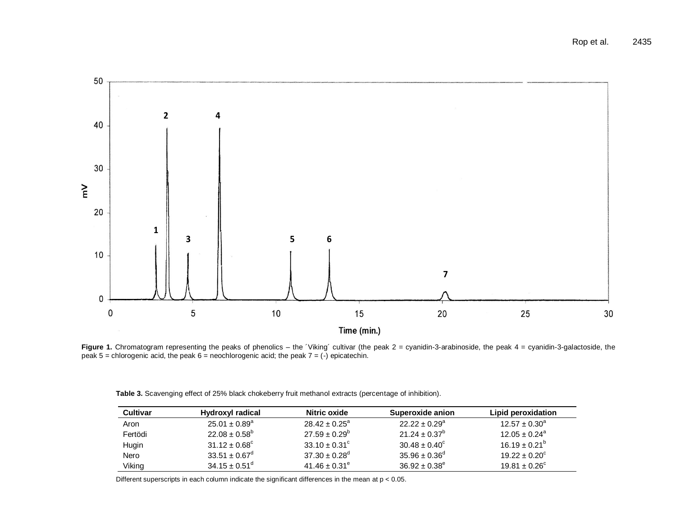

Figure 1. Chromatogram representing the peaks of phenolics – the 'Viking' cultivar (the peak 2 = cyanidin-3-arabinoside, the peak 4 = cyanidin-3-galactoside, the peak 5 = chlorogenic acid, the peak 6 = neochlorogenic acid; the peak  $7 = (-)$  epicatechin.

| Table 3. Scavenging effect of 25% black chokeberry fruit methanol extracts (percentage of inhibition). |  |
|--------------------------------------------------------------------------------------------------------|--|
|                                                                                                        |  |

| Cultivar | Hydroxyl radical         | Nitric oxide                  | Superoxide anion         | Lipid peroxidation       |
|----------|--------------------------|-------------------------------|--------------------------|--------------------------|
| Aron     | $25.01 \pm 0.89^a$       | $28.42 \pm 0.25^a$            | $22.22 \pm 0.29^a$       | $12.57 \pm 0.30^a$       |
| Fertödi  | $22.08 \pm 0.58^{\circ}$ | $27.59 \pm 0.29^b$            | $21.24 \pm 0.37^{\circ}$ | $12.05 \pm 0.24^a$       |
| Hugin    | $31.12 \pm 0.68^{\circ}$ | $33.10 \pm 0.31^{\circ}$      | $30.48 \pm 0.40^{\circ}$ | $16.19 \pm 0.21^{\circ}$ |
| Nero     | $33.51 \pm 0.67^{\circ}$ | $37.30 \pm 0.28$ <sup>d</sup> | $35.96 \pm 0.36^{\circ}$ | $19.22 \pm 0.20^{\circ}$ |
| Viking   | $34.15 \pm 0.51^{\circ}$ | $41.46 \pm 0.31^e$            | $36.92 \pm 0.38^{\circ}$ | $19.81 \pm 0.26^c$       |

Different superscripts in each column indicate the significant differences in the mean at  $p < 0.05$ .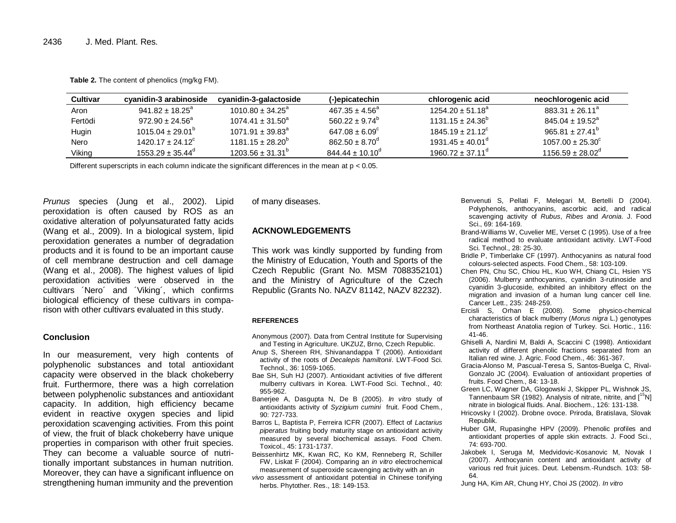| <b>Cultivar</b> | cvanidin-3 arabinoside      | cyanidin-3-galactoside           | (-)epicatechin             | chlorogenic acid            | neochlorogenic acid         |
|-----------------|-----------------------------|----------------------------------|----------------------------|-----------------------------|-----------------------------|
| Aron            | $941.82 \pm 18.25^a$        | $1010.80 \pm 34.25^{\circ}$      | $467.35 \pm 4.56^a$        | $1254.20 + 51.18^a$         | $883.31 \pm 26.11^a$        |
| Fertödi         | $972.90 \pm 24.56^{\circ}$  | $1074.41 \pm 31.50^a$            | $560.22 + 9.74^{\circ}$    | $1131.15 \pm 24.36^b$       | $845.04 \pm 19.52^{\circ}$  |
| Hugin           | $1015.04 \pm 29.01^{\circ}$ | $1071.91 \pm 39.83$ <sup>a</sup> | $647.08 \pm 6.09^{\circ}$  | $1845.19 \pm 21.12^{\circ}$ | $965.81 \pm 27.41^{\circ}$  |
| Nero            | $1420.17 + 24.12^{\circ}$   | $1181.15 \pm 28.20^6$            | $862.50 \pm 8.70^{\circ}$  | $1931.45 \pm 40.01^d$       | $1057.00 \pm 25.30^{\circ}$ |
| Viking          | $1553.29 + 35.44^{\circ}$   | $1203.56 \pm 31.31^{\circ}$      | $844.44 \pm 10.10^{\circ}$ | $1960.72 + 37.11d$          | $1156.59 + 28.02^{\circ}$   |

**Table 2.** The content of phenolics (mg/kg FM).

Different superscripts in each column indicate the significant differences in the mean at p < 0.05.

*Prunus* species (Jung et al., 2002). Lipid peroxidation is often caused by ROS as an oxidative alteration of polyunsaturated fatty acids (Wang et al., 2009). In a biological system, lipid peroxidation generates a number of degradation products and it is found to be an important cause of cell membrane destruction and cell damage (Wang et al., 2008). The highest values of lipid peroxidation activities were observed in the cultivars ´Nero´ and ´Viking´, which confirms biological efficiency of these cultivars in comparison with other cultivars evaluated in this study.

## **Conclusion**

In our measurement, very high contents of polyphenolic substances and total antioxidant capacity were observed in the black chokeberry fruit. Furthermore, there was a high correlation between polyphenolic substances and antioxidant capacity. In addition, high efficiency became evident in reactive oxygen species and lipid peroxidation scavenging activities. From this point of view, the fruit of black chokeberry have unique properties in comparison with other fruit species. They can become a valuable source of nutritionally important substances in human nutrition. Moreover, they can have a significant influence on strengthening human immunity and the prevention

of many diseases.

## **ACKNOWLEDGEMENTS**

This work was kindly supported by funding from the Ministry of Education, Youth and Sports of the Czech Republic (Grant No. MSM 7088352101) and the Ministry of Agriculture of the Czech Republic (Grants No. NAZV 81142, NAZV 82232).

#### **REFERENCES**

- Anonymous (2007). Data from Central Institute for Supervising and Testing in Agriculture. UKZUZ, Brno, Czech Republic.
- Anup S, Shereen RH, Shivanandappa T (2006). Antioxidant activity of the roots of *Decalepis hamiltonii*. LWT-Food Sci. Technol., 36: 1059-1065.
- Bae SH, Suh HJ (2007). Antioxidant activities of five different mulberry cultivars in Korea. LWT-Food Sci. Technol., 40: 955-962.
- Banerjee A, Dasgupta N, De B (2005). *In vitro* study of antioxidants activity of *Syzigium cumini* fruit. Food Chem., 90: 727-733.
- Barros L, Baptista P, Ferreira ICFR (2007). Effect of *Lactarius piperatus* fruiting body maturity stage on antioxidant activity measured by several biochemical assays. Food Chem. Toxicol., 45: 1731-1737.
- Beissenhirtz MK, Kwan RC, Ko KM, Renneberg R, Schiller FW, Liskat F (2004). Comparing an *in vitro* electrochemical measurement of superoxide scavenging activity with an *in*
- *vivo* assessment of antioxidant potential in Chinese tonifying herbs. Phytother. Res., 18: 149-153.
- Benvenuti S, Pellati F, Melegari M, Bertelli D (2004). Polyphenols, anthocyanins, ascorbic acid, and radical scavenging activity of *Rubus*, *Ribes* and *Aronia*. J. Food Sci., 69: 164-169.
- Brand-Williams W, Cuvelier ME, Verset C (1995). Use of a free radical method to evaluate antioxidant activity. LWT-Food Sci. Technol., 28: 25-30.
- Bridle P, Timberlake CF (1997). Anthocyanins as natural food colours-selected aspects. Food Chem., 58: 103-109.
- Chen PN, Chu SC, Chiou HL, Kuo WH, Chiang CL, Hsien YS (2006). Mulberry anthocyanins, cyanidin 3-rutinoside and cyanidin 3-glucoside, exhibited an inhibitory effect on the migration and invasion of a human lung cancer cell line. Cancer Lett., 235: 248-259.
- Ercisli S, Orhan E (2008). Some physico-chemical characteristics of black mulberry (*Morus nigra* L.) genotypes from Northeast Anatolia region of Turkey. Sci. Hortic., 116: 41-46.
- Ghiselli A, Nardini M, Baldi A, Scaccini C (1998). Antioxidant activity of different phenolic fractions separated from an Italian red wine. J. Agric. Food Chem., 46: 361-367.
- Gracia-Alonso M, Pascual-Teresa S, Santos-Buelga C, Rival-Gonzalo JC (2004). Evaluation of antioxidant properties of fruits. Food Chem., 84: 13-18.
- Green LC, Wagner DA, Glogowski J, Skipper PL, Wishnok JS, Tannenbaum SR (1982). Analysis of nitrate, nitrite, and  $\binom{15}{1}$ nitrate in biological fluids. Anal. Biochem., 126: 131-138.
- Hricovsky I (2002). Drobne ovoce. Priroda, Bratislava, Slovak Republik.
- Huber GM, Rupasinghe HPV (2009). Phenolic profiles and antioxidant properties of apple skin extracts. J. Food Sci., 74: 693-700.
- Jakobek I, Seruga M, Medvidovic-Kosanovic M, Novak I (2007). Anthocyanin content and antioxidant activity of various red fruit juices. Deut. Lebensm.-Rundsch. 103: 58- 64.
- Jung HA, Kim AR, Chung HY, Choi JS (2002). *In vitro*